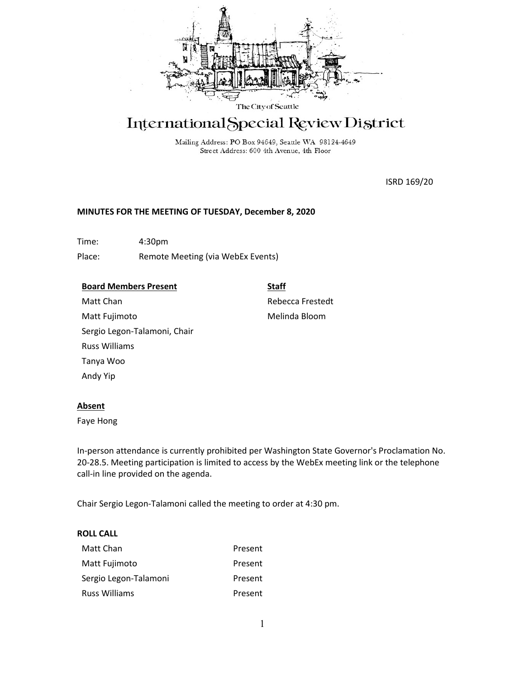

# International Special Review District

Mailing Address: PO Box 94649, Seattle WA 98124-4649 Street Address: 600 4th Avenue, 4th Floor

ISRD 169/20

# **MINUTES FOR THE MEETING OF TUESDAY, December 8, 2020**

Time: 4:30pm Place: Remote Meeting (via WebEx Events)

# **Board Members Present**

# **Staff**

Matt Chan Matt Fujimoto Sergio Legon-Talamoni, Chair Russ Williams Tanya Woo Andy Yip

Rebecca Frestedt Melinda Bloom

# **Absent**

Faye Hong

In-person attendance is currently prohibited per Washington State Governor's Proclamation No. 20-28.5. Meeting participation is limited to access by the WebEx meeting link or the telephone call-in line provided on the agenda.

Chair Sergio Legon-Talamoni called the meeting to order at 4:30 pm.

# **ROLL CALL**

| Matt Chan             | Present |
|-----------------------|---------|
| Matt Fujimoto         | Present |
| Sergio Legon-Talamoni | Present |
| Russ Williams         | Present |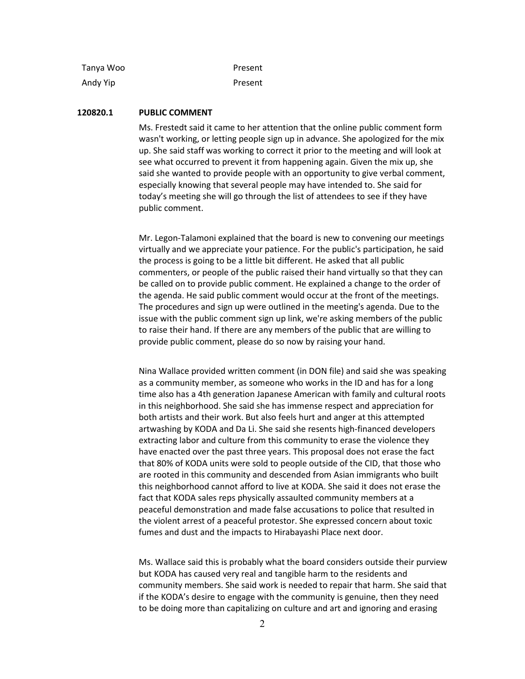| Tanya Woo | Present |
|-----------|---------|
| Andy Yip  | Present |

# **120820.1 PUBLIC COMMENT**

Ms. Frestedt said it came to her attention that the online public comment form wasn't working, or letting people sign up in advance. She apologized for the mix up. She said staff was working to correct it prior to the meeting and will look at see what occurred to prevent it from happening again. Given the mix up, she said she wanted to provide people with an opportunity to give verbal comment, especially knowing that several people may have intended to. She said for today's meeting she will go through the list of attendees to see if they have public comment.

Mr. Legon-Talamoni explained that the board is new to convening our meetings virtually and we appreciate your patience. For the public's participation, he said the process is going to be a little bit different. He asked that all public commenters, or people of the public raised their hand virtually so that they can be called on to provide public comment. He explained a change to the order of the agenda. He said public comment would occur at the front of the meetings. The procedures and sign up were outlined in the meeting's agenda. Due to the issue with the public comment sign up link, we're asking members of the public to raise their hand. If there are any members of the public that are willing to provide public comment, please do so now by raising your hand.

Nina Wallace provided written comment (in DON file) and said she was speaking as a community member, as someone who works in the ID and has for a long time also has a 4th generation Japanese American with family and cultural roots in this neighborhood. She said she has immense respect and appreciation for both artists and their work. But also feels hurt and anger at this attempted artwashing by KODA and Da Li. She said she resents high-financed developers extracting labor and culture from this community to erase the violence they have enacted over the past three years. This proposal does not erase the fact that 80% of KODA units were sold to people outside of the CID, that those who are rooted in this community and descended from Asian immigrants who built this neighborhood cannot afford to live at KODA. She said it does not erase the fact that KODA sales reps physically assaulted community members at a peaceful demonstration and made false accusations to police that resulted in the violent arrest of a peaceful protestor. She expressed concern about toxic fumes and dust and the impacts to Hirabayashi Place next door.

Ms. Wallace said this is probably what the board considers outside their purview but KODA has caused very real and tangible harm to the residents and community members. She said work is needed to repair that harm. She said that if the KODA's desire to engage with the community is genuine, then they need to be doing more than capitalizing on culture and art and ignoring and erasing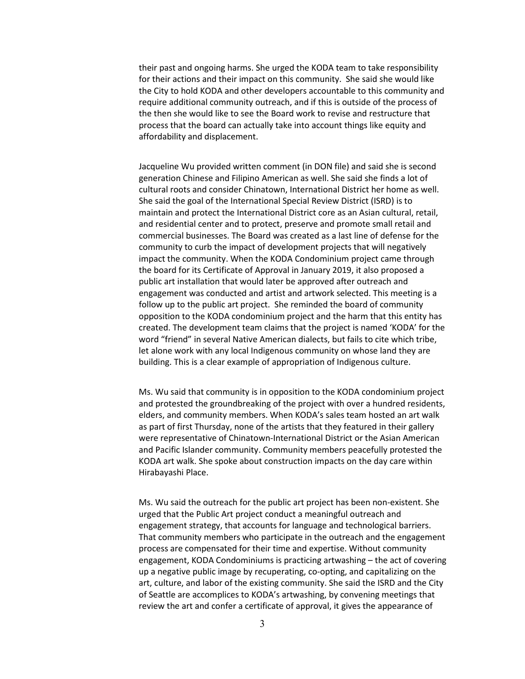their past and ongoing harms. She urged the KODA team to take responsibility for their actions and their impact on this community. She said she would like the City to hold KODA and other developers accountable to this community and require additional community outreach, and if this is outside of the process of the then she would like to see the Board work to revise and restructure that process that the board can actually take into account things like equity and affordability and displacement.

Jacqueline Wu provided written comment (in DON file) and said she is second generation Chinese and Filipino American as well. She said she finds a lot of cultural roots and consider Chinatown, International District her home as well. She said the goal of the International Special Review District (ISRD) is to maintain and protect the International District core as an Asian cultural, retail, and residential center and to protect, preserve and promote small retail and commercial businesses. The Board was created as a last line of defense for the community to curb the impact of development projects that will negatively impact the community. When the KODA Condominium project came through the board for its Certificate of Approval in January 2019, it also proposed a public art installation that would later be approved after outreach and engagement was conducted and artist and artwork selected. This meeting is a follow up to the public art project. She reminded the board of community opposition to the KODA condominium project and the harm that this entity has created. The development team claims that the project is named 'KODA' for the word ["friend"](https://ownkoda.com/information?locale=en) in several Native American dialects, but fails to cite which tribe, let alone work with any local Indigenous community on whose land they are building. This is a clear example of appropriation of Indigenous culture.

Ms. Wu said that community is in opposition to the KODA condominium project and protested the groundbreaking of the project with over a hundred residents, elders, and community members. When KODA's sales team hosted an art walk as part of first Thursday, none of the artists that they featured in their gallery were representative of Chinatown-International District or the Asian American and Pacific Islander community. Community members peacefully protested the KODA art walk. She spoke about construction impacts on the day care within Hirabayashi Place.

Ms. Wu said the outreach for the public art project has been non-existent. She urged that the Public Art project conduct a meaningful outreach and engagement strategy, that accounts for language and technological barriers. That community members who participate in the outreach and the engagement process are compensated for their time and expertise. Without community engagement, KODA Condominiums is practicing artwashing – the act of covering up a negative public image by recuperating, co-opting, and capitalizing on the art, culture, and labor of the existing community. She said the ISRD and the City of Seattle are accomplices to KODA's artwashing, by convening meetings that review the art and confer a certificate of approval, it gives the appearance of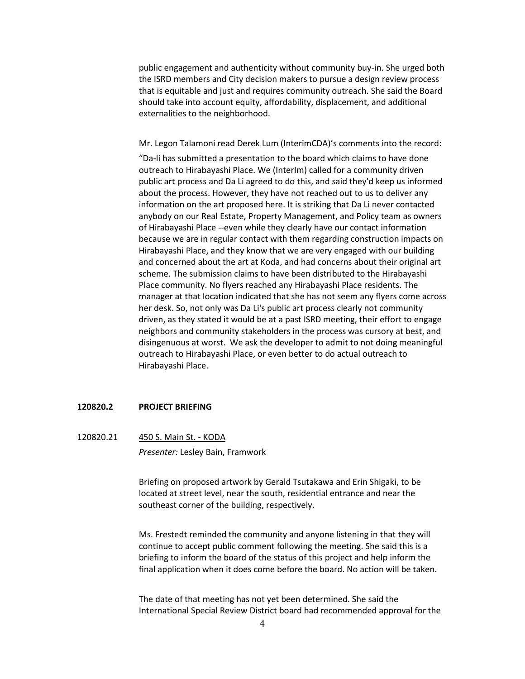public engagement and authenticity without community buy-in. She urged both the ISRD members and City decision makers to pursue a design review process that is equitable and just and requires community outreach. She said the Board should take into account equity, affordability, displacement, and additional externalities to the neighborhood.

Mr. Legon Talamoni read Derek Lum (InterimCDA)'s comments into the record:

"Da-li has submitted a presentation to the board which claims to have done outreach to Hirabayashi Place. We (InterIm) called for a community driven public art process and Da Li agreed to do this, and said they'd keep us informed about the process. However, they have not reached out to us to deliver any information on the art proposed here. It is striking that Da Li never contacted anybody on our Real Estate, Property Management, and Policy team as owners of Hirabayashi Place --even while they clearly have our contact information because we are in regular contact with them regarding construction impacts on Hirabayashi Place, and they know that we are very engaged with our building and concerned about the art at Koda, and had concerns about their original art scheme. The submission claims to have been distributed to the Hirabayashi Place community. No flyers reached any Hirabayashi Place residents. The manager at that location indicated that she has not seem any flyers come across her desk. So, not only was Da Li's public art process clearly not community driven, as they stated it would be at a past ISRD meeting, their effort to engage neighbors and community stakeholders in the process was cursory at best, and disingenuous at worst. We ask the developer to admit to not doing meaningful outreach to Hirabayashi Place, or even better to do actual outreach to Hirabayashi Place.

#### **120820.2 PROJECT BRIEFING**

120820.21 450 S. Main St. - KODA *Presenter:* Lesley Bain, Framwork

> Briefing on proposed artwork by Gerald Tsutakawa and Erin Shigaki, to be located at street level, near the south, residential entrance and near the southeast corner of the building, respectively.

Ms. Frestedt reminded the community and anyone listening in that they will continue to accept public comment following the meeting. She said this is a briefing to inform the board of the status of this project and help inform the final application when it does come before the board. No action will be taken.

The date of that meeting has not yet been determined. She said the International Special Review District board had recommended approval for the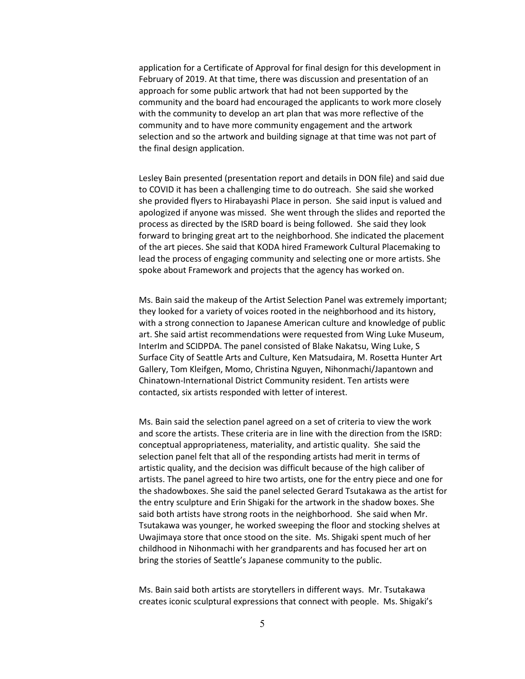application for a Certificate of Approval for final design for this development in February of 2019. At that time, there was discussion and presentation of an approach for some public artwork that had not been supported by the community and the board had encouraged the applicants to work more closely with the community to develop an art plan that was more reflective of the community and to have more community engagement and the artwork selection and so the artwork and building signage at that time was not part of the final design application.

Lesley Bain presented (presentation report and details in DON file) and said due to COVID it has been a challenging time to do outreach. She said she worked she provided flyers to Hirabayashi Place in person. She said input is valued and apologized if anyone was missed. She went through the slides and reported the process as directed by the ISRD board is being followed. She said they look forward to bringing great art to the neighborhood. She indicated the placement of the art pieces. She said that KODA hired Framework Cultural Placemaking to lead the process of engaging community and selecting one or more artists. She spoke about Framework and projects that the agency has worked on.

Ms. Bain said the makeup of the Artist Selection Panel was extremely important; they looked for a variety of voices rooted in the neighborhood and its history, with a strong connection to Japanese American culture and knowledge of public art. She said artist recommendations were requested from Wing Luke Museum, InterIm and SCIDPDA. The panel consisted of Blake Nakatsu, Wing Luke, S Surface City of Seattle Arts and Culture, Ken Matsudaira, M. Rosetta Hunter Art Gallery, Tom Kleifgen, Momo, Christina Nguyen, Nihonmachi/Japantown and Chinatown-International District Community resident. Ten artists were contacted, six artists responded with letter of interest.

Ms. Bain said the selection panel agreed on a set of criteria to view the work and score the artists. These criteria are in line with the direction from the ISRD: conceptual appropriateness, materiality, and artistic quality. She said the selection panel felt that all of the responding artists had merit in terms of artistic quality, and the decision was difficult because of the high caliber of artists. The panel agreed to hire two artists, one for the entry piece and one for the shadowboxes. She said the panel selected Gerard Tsutakawa as the artist for the entry sculpture and Erin Shigaki for the artwork in the shadow boxes. She said both artists have strong roots in the neighborhood. She said when Mr. Tsutakawa was younger, he worked sweeping the floor and stocking shelves at Uwajimaya store that once stood on the site. Ms. Shigaki spent much of her childhood in Nihonmachi with her grandparents and has focused her art on bring the stories of Seattle's Japanese community to the public.

Ms. Bain said both artists are storytellers in different ways. Mr. Tsutakawa creates iconic sculptural expressions that connect with people. Ms. Shigaki's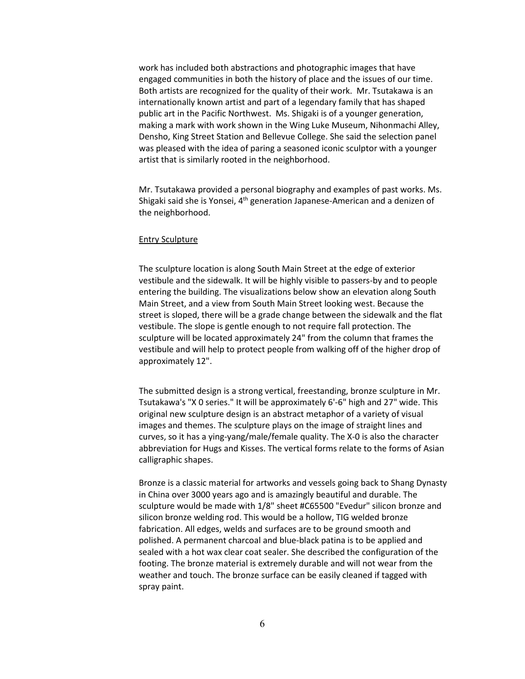work has included both abstractions and photographic images that have engaged communities in both the history of place and the issues of our time. Both artists are recognized for the quality of their work. Mr. Tsutakawa is an internationally known artist and part of a legendary family that has shaped public art in the Pacific Northwest. Ms. Shigaki is of a younger generation, making a mark with work shown in the Wing Luke Museum, Nihonmachi Alley, Densho, King Street Station and Bellevue College. She said the selection panel was pleased with the idea of paring a seasoned iconic sculptor with a younger artist that is similarly rooted in the neighborhood.

Mr. Tsutakawa provided a personal biography and examples of past works. Ms. Shigaki said she is Yonsei, 4<sup>th</sup> generation Japanese-American and a denizen of the neighborhood.

#### Entry Sculpture

The sculpture location is along South Main Street at the edge of exterior vestibule and the sidewalk. It will be highly visible to passers-by and to people entering the building. The visualizations below show an elevation along South Main Street, and a view from South Main Street looking west. Because the street is sloped, there will be a grade change between the sidewalk and the flat vestibule. The slope is gentle enough to not require fall protection. The sculpture will be located approximately 24" from the column that frames the vestibule and will help to protect people from walking off of the higher drop of approximately 12".

The submitted design is a strong vertical, freestanding, bronze sculpture in Mr. Tsutakawa's "X 0 series." It will be approximately 6'-6" high and 27" wide. This original new sculpture design is an abstract metaphor of a variety of visual images and themes. The sculpture plays on the image of straight lines and curves, so it has a ying-yang/male/female quality. The X-0 is also the character abbreviation for Hugs and Kisses. The vertical forms relate to the forms of Asian calligraphic shapes.

Bronze is a classic material for artworks and vessels going back to Shang Dynasty in China over 3000 years ago and is amazingly beautiful and durable. The sculpture would be made with 1/8" sheet #C65500 "Evedur" silicon bronze and silicon bronze welding rod. This would be a hollow, TIG welded bronze fabrication. All edges, welds and surfaces are to be ground smooth and polished. A permanent charcoal and blue-black patina is to be applied and sealed with a hot wax clear coat sealer. She described the configuration of the footing. The bronze material is extremely durable and will not wear from the weather and touch. The bronze surface can be easily cleaned if tagged with spray paint.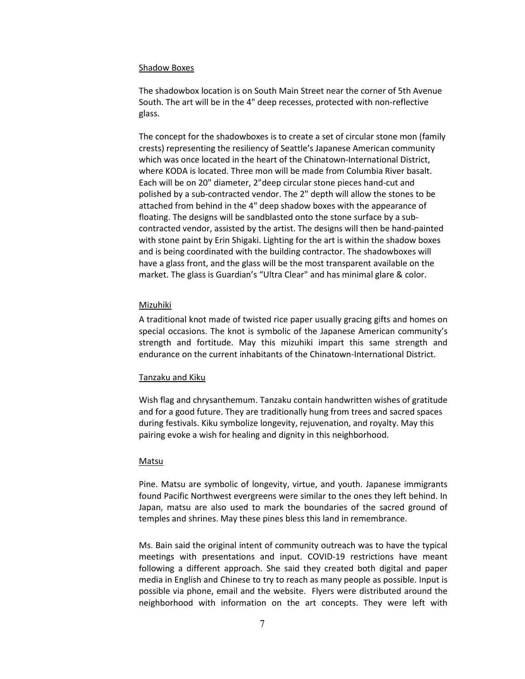#### Shadow Boxes

The shadowbox location is on South Main Street near the corner of 5th Avenue South. The art will be in the 4" deep recesses, protected with non-reflective glass.

The concept for the shadowboxes is to create a set of circular stone mon (family crests) representing the resiliency of Seattle's Japanese American community which was once located in the heart of the Chinatown-International District, where KODA is located. Three mon will be made from Columbia River basalt. Each will be on 20" diameter, 2"deep circular stone pieces hand-cut and polished by a sub-contracted vendor. The 2" depth will allow the stones to be attached from behind in the 4" deep shadow boxes with the appearance of floating. The designs will be sandblasted onto the stone surface by a subcontracted vendor, assisted by the artist. The designs will then be hand-painted with stone paint by Erin Shigaki. Lighting for the art is within the shadow boxes and is being coordinated with the building contractor. The shadowboxes will have a glass front, and the glass will be the most transparent available on the market. The glass is Guardian's "Ultra Clear" and has minimal glare & color.

#### Mizuhiki

A traditional knot made of twisted rice paper usually gracing gifts and homes on special occasions. The knot is symbolic of the Japanese American community's strength and fortitude. May this mizuhiki impart this same strength and endurance on the current inhabitants of the Chinatown-International District.

#### Tanzaku and Kiku

Wish flag and chrysanthemum. Tanzaku contain handwritten wishes of gratitude and for a good future. They are traditionally hung from trees and sacred spaces during festivals. Kiku symbolize longevity, rejuvenation, and royalty. May this pairing evoke a wish for healing and dignity in this neighborhood.

#### **Matsu**

Pine. Matsu are symbolic of longevity, virtue, and youth. Japanese immigrants found Pacific Northwest evergreens were similar to the ones they left behind. In Japan, matsu are also used to mark the boundaries of the sacred ground of temples and shrines. May these pines bless this land in remembrance.

Ms. Bain said the original intent of community outreach was to have the typical meetings with presentations and input. COVID-19 restrictions have meant following a different approach. She said they created both digital and paper media in English and Chinese to try to reach as many people as possible. Input is possible via phone, email and the website. Flyers were distributed around the neighborhood with information on the art concepts. They were left with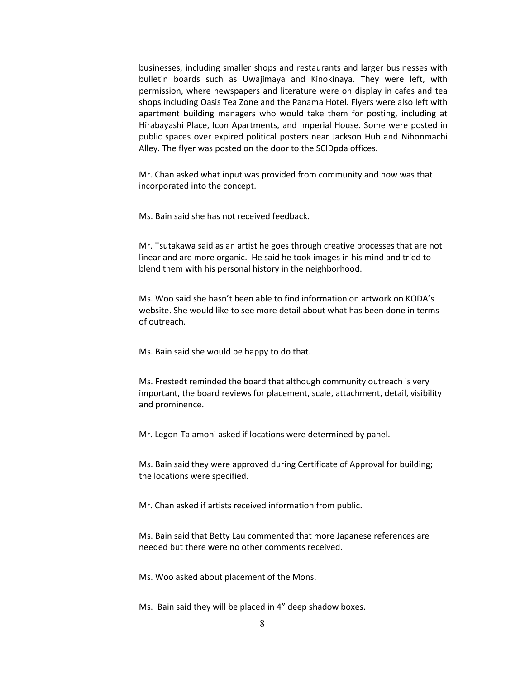businesses, including smaller shops and restaurants and larger businesses with bulletin boards such as Uwajimaya and Kinokinaya. They were left, with permission, where newspapers and literature were on display in cafes and tea shops including Oasis Tea Zone and the Panama Hotel. Flyers were also left with apartment building managers who would take them for posting, including at Hirabayashi Place, Icon Apartments, and Imperial House. Some were posted in public spaces over expired political posters near Jackson Hub and Nihonmachi Alley. The flyer was posted on the door to the SCIDpda offices.

Mr. Chan asked what input was provided from community and how was that incorporated into the concept.

Ms. Bain said she has not received feedback.

Mr. Tsutakawa said as an artist he goes through creative processes that are not linear and are more organic. He said he took images in his mind and tried to blend them with his personal history in the neighborhood.

Ms. Woo said she hasn't been able to find information on artwork on KODA's website. She would like to see more detail about what has been done in terms of outreach.

Ms. Bain said she would be happy to do that.

Ms. Frestedt reminded the board that although community outreach is very important, the board reviews for placement, scale, attachment, detail, visibility and prominence.

Mr. Legon-Talamoni asked if locations were determined by panel.

Ms. Bain said they were approved during Certificate of Approval for building; the locations were specified.

Mr. Chan asked if artists received information from public.

Ms. Bain said that Betty Lau commented that more Japanese references are needed but there were no other comments received.

Ms. Woo asked about placement of the Mons.

Ms. Bain said they will be placed in 4" deep shadow boxes.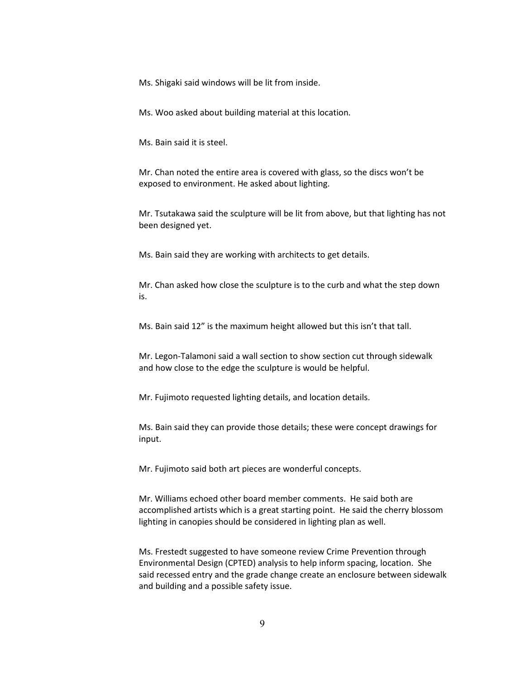Ms. Shigaki said windows will be lit from inside.

Ms. Woo asked about building material at this location.

Ms. Bain said it is steel.

Mr. Chan noted the entire area is covered with glass, so the discs won't be exposed to environment. He asked about lighting.

Mr. Tsutakawa said the sculpture will be lit from above, but that lighting has not been designed yet.

Ms. Bain said they are working with architects to get details.

Mr. Chan asked how close the sculpture is to the curb and what the step down is.

Ms. Bain said 12" is the maximum height allowed but this isn't that tall.

Mr. Legon-Talamoni said a wall section to show section cut through sidewalk and how close to the edge the sculpture is would be helpful.

Mr. Fujimoto requested lighting details, and location details.

Ms. Bain said they can provide those details; these were concept drawings for input.

Mr. Fujimoto said both art pieces are wonderful concepts.

Mr. Williams echoed other board member comments. He said both are accomplished artists which is a great starting point. He said the cherry blossom lighting in canopies should be considered in lighting plan as well.

Ms. Frestedt suggested to have someone review Crime Prevention through Environmental Design (CPTED) analysis to help inform spacing, location. She said recessed entry and the grade change create an enclosure between sidewalk and building and a possible safety issue.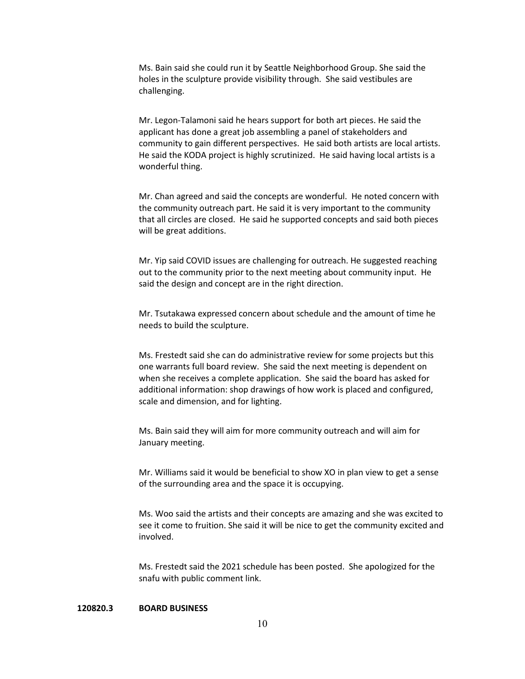Ms. Bain said she could run it by Seattle Neighborhood Group. She said the holes in the sculpture provide visibility through. She said vestibules are challenging.

Mr. Legon-Talamoni said he hears support for both art pieces. He said the applicant has done a great job assembling a panel of stakeholders and community to gain different perspectives. He said both artists are local artists. He said the KODA project is highly scrutinized. He said having local artists is a wonderful thing.

Mr. Chan agreed and said the concepts are wonderful. He noted concern with the community outreach part. He said it is very important to the community that all circles are closed. He said he supported concepts and said both pieces will be great additions.

Mr. Yip said COVID issues are challenging for outreach. He suggested reaching out to the community prior to the next meeting about community input. He said the design and concept are in the right direction.

Mr. Tsutakawa expressed concern about schedule and the amount of time he needs to build the sculpture.

Ms. Frestedt said she can do administrative review for some projects but this one warrants full board review. She said the next meeting is dependent on when she receives a complete application. She said the board has asked for additional information: shop drawings of how work is placed and configured, scale and dimension, and for lighting.

Ms. Bain said they will aim for more community outreach and will aim for January meeting.

Mr. Williams said it would be beneficial to show XO in plan view to get a sense of the surrounding area and the space it is occupying.

Ms. Woo said the artists and their concepts are amazing and she was excited to see it come to fruition. She said it will be nice to get the community excited and involved.

Ms. Frestedt said the 2021 schedule has been posted. She apologized for the snafu with public comment link.

# **120820.3 BOARD BUSINESS**